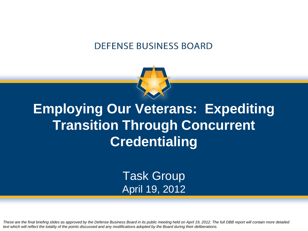#### **DEFENSE BUSINESS BOARD**



## **Employing Our Veterans: Expediting Transition Through Concurrent Credentialing**

Task Group April 19, 2012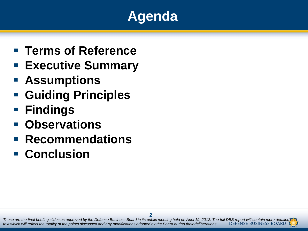## **Agenda**

- **Terms of Reference**
- **Executive Summary**
- **Assumptions**
- **Guiding Principles**
- **Findings**
- **Observations**
- **Recommendations**
- **Conclusion**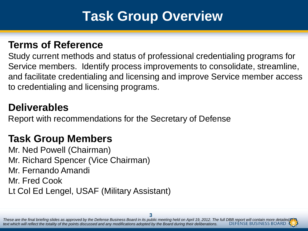### **Task Group Overview**

#### **Terms of Reference**

Study current methods and status of professional credentialing programs for Service members. Identify process improvements to consolidate, streamline, and facilitate credentialing and licensing and improve Service member access to credentialing and licensing programs.

#### **Deliverables**

Report with recommendations for the Secretary of Defense

#### **Task Group Members**

Mr. Ned Powell (Chairman) Mr. Richard Spencer (Vice Chairman) Mr. Fernando Amandi Mr. Fred Cook

Lt Col Ed Lengel, USAF (Military Assistant)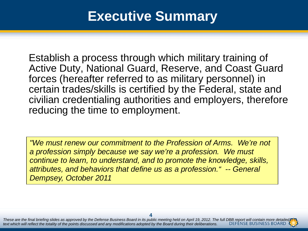### **Executive Summary**

Establish a process through which military training of Active Duty, National Guard, Reserve, and Coast Guard forces (hereafter referred to as military personnel) in certain trades/skills is certified by the Federal, state and civilian credentialing authorities and employers, therefore reducing the time to employment.

*"We must renew our commitment to the Profession of Arms. We're not a profession simply because we say we're a profession. We must continue to learn, to understand, and to promote the knowledge, skills, attributes, and behaviors that define us as a profession." -- General Dempsey, October 2011*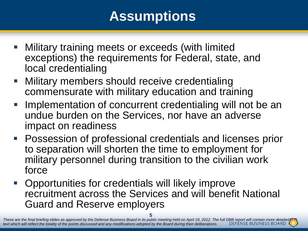## **Assumptions**

- **Military training meets or exceeds (with limited** exceptions) the requirements for Federal, state, and local credentialing
- **Nilitary members should receive credentialing** commensurate with military education and training
- Implementation of concurrent credentialing will not be an undue burden on the Services, nor have an adverse impact on readiness
- **Possession of professional credentials and licenses prior** to separation will shorten the time to employment for military personnel during transition to the civilian work force
- **-** Opportunities for credentials will likely improve recruitment across the Services and will benefit National Guard and Reserve employers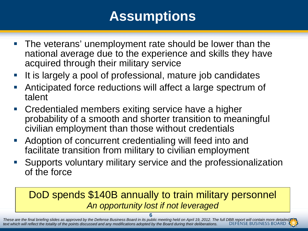## **Assumptions**

- **The veterans' unemployment rate should be lower than the** national average due to the experience and skills they have acquired through their military service
- It is largely a pool of professional, mature job candidates
- Anticipated force reductions will affect a large spectrum of talent
- **Credentialed members exiting service have a higher** probability of a smooth and shorter transition to meaningful civilian employment than those without credentials
- Adoption of concurrent credentialing will feed into and facilitate transition from military to civilian employment
- Supports voluntary military service and the professionalization of the force

#### DoD spends \$140B annually to train military personnel *An opportunity lost if not leveraged*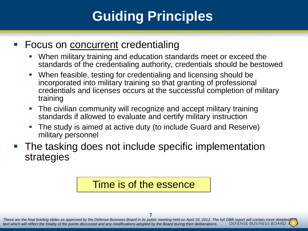## **Guiding Principles**

#### **Focus on concurrent credentialing**

- When military training and education standards meet or exceed the standards of the credentialing authority, credentials should be bestowed
- When feasible, testing for credentialing and licensing should be incorporated into military training so that granting of professional credentials and licenses occurs at the successful completion of military training
- The civilian community will recognize and accept military training standards if allowed to evaluate and certify military instruction
- The study is aimed at active duty (to include Guard and Reserve) military personnel
- The tasking does not include specific implementation strategies

#### Time is of the essence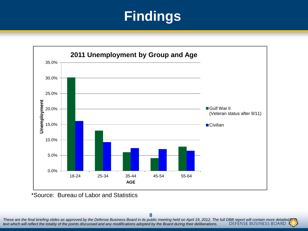

\*Source: Bureau of Labor and Statistics

**8**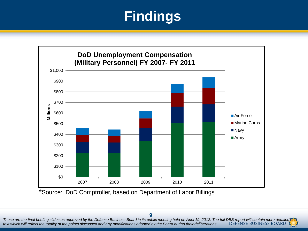

\*Source: DoD Comptroller, based on Department of Labor Billings

**9**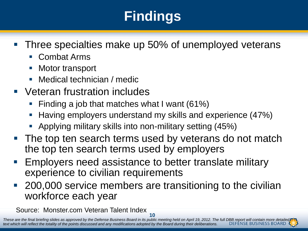- **Three specialties make up 50% of unemployed veterans** 
	- Combat Arms
	- Motor transport
	- Medical technician / medic
- Veteran frustration includes
	- Finding a job that matches what I want (61%)
	- Having employers understand my skills and experience (47%)
	- Applying military skills into non-military setting (45%)
- **The top ten search terms used by veterans do not match** the top ten search terms used by employers
- **Employers need assistance to better translate military** experience to civilian requirements
- 200,000 service members are transitioning to the civilian workforce each year

Source: Monster.com Veteran Talent Index

**10**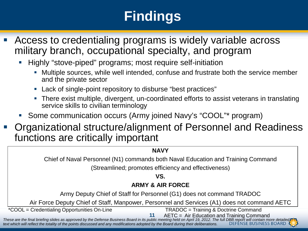- Access to credentialing programs is widely variable across military branch, occupational specialty, and program
	- Highly "stove-piped" programs; most require self-initiation
		- Multiple sources, while well intended, confuse and frustrate both the service member and the private sector
		- Lack of single-point repository to disburse "best practices"
		- There exist multiple, divergent, un-coordinated efforts to assist veterans in translating service skills to civilian terminology
	- Some communication occurs (Army joined Navy's "COOL"\* program)
- Organizational structure/alignment of Personnel and Readiness functions are critically important

Chief of Naval Personnel (N1) commands both Naval Education and Training Command

(Streamlined; promotes efficiency and effectiveness)

**VS.**

#### **ARMY & AIR FORCE**

Army Deputy Chief of Staff for Personnel (G1) does not command TRADOC

Air Force Deputy Chief of Staff, Manpower, Personnel and Services (A1) does not command AETC

\*COOL = Credentialing Opportunities On-Line TRADOC = Training & Doctrine Command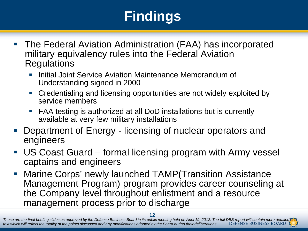- The Federal Aviation Administration (FAA) has incorporated military equivalency rules into the Federal Aviation Regulations
	- Initial Joint Service Aviation Maintenance Memorandum of Understanding signed in 2000
	- Credentialing and licensing opportunities are not widely exploited by service members
	- FAA testing is authorized at all DoD installations but is currently available at very few military installations
- Department of Energy licensing of nuclear operators and engineers
- US Coast Guard formal licensing program with Army vessel captains and engineers
- **Marine Corps' newly launched TAMP(Transition Assistance** Management Program) program provides career counseling at the Company level throughout enlistment and a resource management process prior to discharge

**<sup>12</sup>**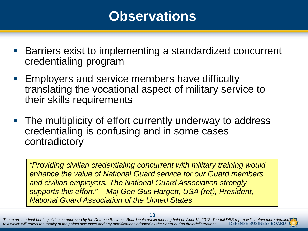### **Observations**

- Barriers exist to implementing a standardized concurrent credentialing program
- **Employers and service members have difficulty** translating the vocational aspect of military service to their skills requirements
- The multiplicity of effort currently underway to address credentialing is confusing and in some cases contradictory

*"Providing civilian credentialing concurrent with military training would enhance the value of National Guard service for our Guard members and civilian employers. The National Guard Association strongly supports this effort." – Maj Gen Gus Hargett, USA (ret), President, National Guard Association of the United States*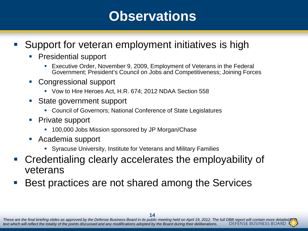### **Observations**

#### **Support for veteran employment initiatives is high**

- **Presidential support** 
	- Executive Order, November 9, 2009, Employment of Veterans in the Federal Government; President's Council on Jobs and Competitiveness; Joining Forces
- Congressional support
	- Vow to Hire Heroes Act, H.R. 674; 2012 NDAA Section 558
- State government support
	- Council of Governors; National Conference of State Legislatures
- Private support
	- **100,000 Jobs Mission sponsored by JP Morgan/Chase**
- Academia support
	- Syracuse University, Institute for Veterans and Military Families
- Credentialing clearly accelerates the employability of veterans
- Best practices are not shared among the Services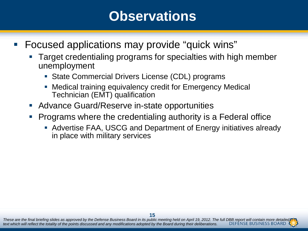### **Observations**

- Focused applications may provide "quick wins"
	- Target credentialing programs for specialties with high member unemployment
		- State Commercial Drivers License (CDL) programs
		- Medical training equivalency credit for Emergency Medical Technician (EMT) qualification
	- **Advance Guard/Reserve in-state opportunities**
	- Programs where the credentialing authority is a Federal office
		- Advertise FAA, USCG and Department of Energy initiatives already in place with military services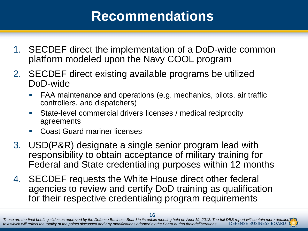### **Recommendations**

- 1. SECDEF direct the implementation of a DoD-wide common platform modeled upon the Navy COOL program
- 2. SECDEF direct existing available programs be utilized DoD-wide
	- FAA maintenance and operations (e.g. mechanics, pilots, air traffic controllers, and dispatchers)
	- State-level commercial drivers licenses / medical reciprocity agreements
	- **Coast Guard mariner licenses**
- 3. USD(P&R) designate a single senior program lead with responsibility to obtain acceptance of military training for Federal and State credentialing purposes within 12 months
- 4. SECDEF requests the White House direct other federal agencies to review and certify DoD training as qualification for their respective credentialing program requirements

**<sup>16</sup>**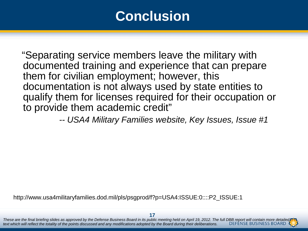### **Conclusion**

 "Separating service members leave the military with documented training and experience that can prepare them for civilian employment; however, this documentation is not always used by state entities to qualify them for licenses required for their occupation or to provide them academic credit"

 *-- USA4 Military Families website, Key Issues, Issue #1*

http://www.usa4militaryfamilies.dod.mil/pls/psgprod/f?p=USA4:ISSUE:0::::P2\_ISSUE:1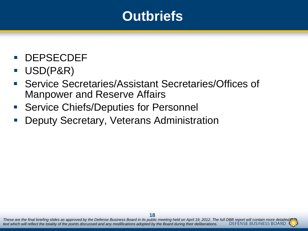### **Outbriefs**

- **DEPSECDEF**
- USD(P&R)
- Service Secretaries/Assistant Secretaries/Offices of Manpower and Reserve Affairs
- Service Chiefs/Deputies for Personnel
- Deputy Secretary, Veterans Administration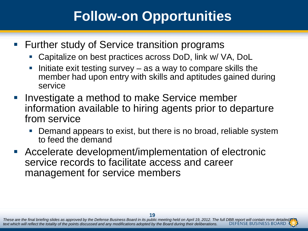## **Follow-on Opportunities**

- **Further study of Service transition programs** 
	- Capitalize on best practices across DoD, link w/ VA, DoL
	- Initiate exit testing survey as a way to compare skills the member had upon entry with skills and aptitudes gained during service
- **Investigate a method to make Service member** information available to hiring agents prior to departure from service
	- Demand appears to exist, but there is no broad, reliable system to feed the demand
- Accelerate development/implementation of electronic service records to facilitate access and career management for service members